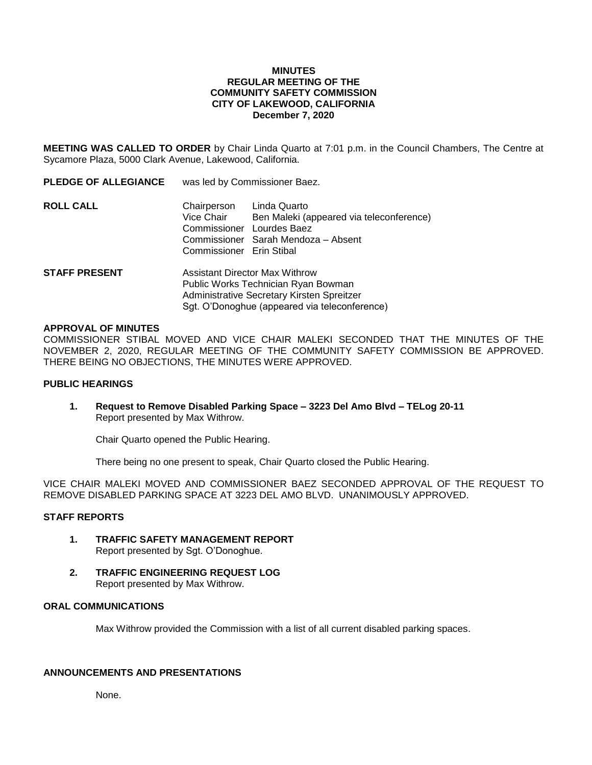### **MINUTES REGULAR MEETING OF THE COMMUNITY SAFETY COMMISSION CITY OF LAKEWOOD, CALIFORNIA December 7, 2020**

**MEETING WAS CALLED TO ORDER** by Chair Linda Quarto at 7:01 p.m. in the Council Chambers, The Centre at Sycamore Plaza, 5000 Clark Avenue, Lakewood, California.

| <b>PLEDGE OF ALLEGIANCE</b> | was led by Commissioner Baez.                                                                                              |                                                                                                                              |
|-----------------------------|----------------------------------------------------------------------------------------------------------------------------|------------------------------------------------------------------------------------------------------------------------------|
| <b>ROLL CALL</b>            | Chairperson<br>Vice Chair<br>Commissioner Erin Stibal                                                                      | Linda Quarto<br>Ben Maleki (appeared via teleconference)<br>Commissioner Lourdes Baez<br>Commissioner Sarah Mendoza – Absent |
| <b>STAFF PRESENT</b>        | <b>Assistant Director Max Withrow</b><br>Public Works Technician Ryan Bowman<br>Administrative Secretary Kirsten Spreitzer |                                                                                                                              |

#### **APPROVAL OF MINUTES**

COMMISSIONER STIBAL MOVED AND VICE CHAIR MALEKI SECONDED THAT THE MINUTES OF THE NOVEMBER 2, 2020, REGULAR MEETING OF THE COMMUNITY SAFETY COMMISSION BE APPROVED. THERE BEING NO OBJECTIONS, THE MINUTES WERE APPROVED.

Sgt. O'Donoghue (appeared via teleconference)

#### **PUBLIC HEARINGS**

**1. Request to Remove Disabled Parking Space – 3223 Del Amo Blvd – TELog 20-11** Report presented by Max Withrow.

Chair Quarto opened the Public Hearing.

There being no one present to speak, Chair Quarto closed the Public Hearing.

VICE CHAIR MALEKI MOVED AND COMMISSIONER BAEZ SECONDED APPROVAL OF THE REQUEST TO REMOVE DISABLED PARKING SPACE AT 3223 DEL AMO BLVD. UNANIMOUSLY APPROVED.

## **STAFF REPORTS**

- **1. TRAFFIC SAFETY MANAGEMENT REPORT** Report presented by Sgt. O'Donoghue.
- **2. TRAFFIC ENGINEERING REQUEST LOG** Report presented by Max Withrow.

## **ORAL COMMUNICATIONS**

Max Withrow provided the Commission with a list of all current disabled parking spaces.

# **ANNOUNCEMENTS AND PRESENTATIONS**

None.